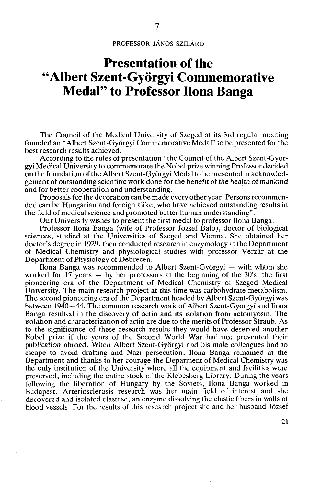**PROFESSOR JÁNOS SZILÁRD** 

## **Presentation of the "Albert Szent-Györgyi Commemorative Medal" to Professor Ilona Banga**

The Council of the Medical University of Szeged at its 3rd regular meeting founded an "Albert Szent-Györgyi Commemorative Medal" to be presented for the best research results achieved.

According to the rules of presentation "the Council of the Albert Szent-Györgyi Medical University to commemorate the Nobel prize winning Professor decided on the foundation of the Albert Szent-Györgyi Medal to be presented in acknowledgement of outstanding scientific work done for the benefit of the health of mankind and for better cooperation and understanding.

Proposals for the decoration can be made every other year. Persons recommended can be Hungarian and foreign alike, who have achieved outstanding results in the field of medical science and promoted better human understanding".

Our University wishes to present the first medal to professor Ilona Banga.

Professor Ilona Banga (wife of Professor József Baló), doctor of biological sciences, studied at the Universities of Szeged and Vienna. She obtained her doctor's degree in 1929, then conducted research in enzymology at the Department of Medical Chemistry and physiological studies with professor Verzár at the Department of Physiology of Debrecen.

Ilona Banga was recommended to Albert Szent-Györgyi — with whom she worked for  $17$  years  $-$  by her professors at the beginning of the 30's, the first pioneering era of the Department of Medical Chemistry of Szeged Medical University. The main research project at this time was carbohydrate metabolism. The second pioneering era of the Department headed by Albert Szent-Györgyi was between 1940—44. The common research work of Albert Szent-Györgyi and Ilona Banga resulted in the discovery of actin and its isolation from actomyosin. The isolation and characterization of actin are due to the merits of Professor Straub. As to the significance of these research results they would have deserved another Nobel prize if the years of the Second World War had not prevented their publication abroad. When Albert Szent-Györgyi and his male colleagues had to escape to avoid drafting and Nazi persecution, Ilona Banga remained at the Department and thanks to her courage the Deparment of Medical Chemistry was the only institution of the University where all the equipment and facilities were preserved, including the entire stock of the Klebesberg Library. During the years following the liberation of Hungary by the Soviets, Ilona Banga worked in Budapest. Arteriosclerosis research was her main field of interest and she discovered and isolated elastase, an enzyme dissolving the elastic fibers in walls of blood vessels. For the results of this research project she and her husband József